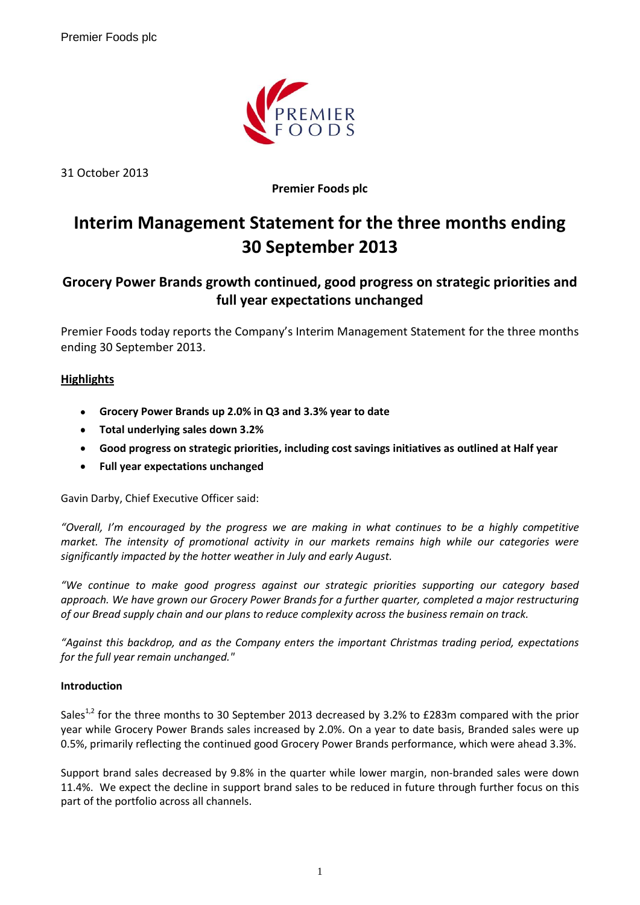

31 October 2013

**Premier Foods plc**

# **Interim Management Statement for the three months ending 30 September 2013**

## **Grocery Power Brands growth continued, good progress on strategic priorities and full year expectations unchanged**

Premier Foods today reports the Company's Interim Management Statement for the three months ending 30 September 2013.

### **Highlights**

- **Grocery Power Brands up 2.0% in Q3 and 3.3% year to date**
- **Total underlying sales down 3.2%**
- **Good progress on strategic priorities, including cost savings initiatives as outlined at Half year**
- **Full year expectations unchanged**  $\bullet$

Gavin Darby, Chief Executive Officer said:

*"Overall, I'm encouraged by the progress we are making in what continues to be a highly competitive market. The intensity of promotional activity in our markets remains high while our categories were significantly impacted by the hotter weather in July and early August.* 

*"We continue to make good progress against our strategic priorities supporting our category based approach. We have grown our Grocery Power Brands for a further quarter, completed a major restructuring of our Bread supply chain and our plans to reduce complexity across the business remain on track.*

*"Against this backdrop, and as the Company enters the important Christmas trading period, expectations for the full year remain unchanged."*

#### **Introduction**

Sales<sup>1,2</sup> for the three months to 30 September 2013 decreased by 3.2% to £283m compared with the prior year while Grocery Power Brands sales increased by 2.0%. On a year to date basis, Branded sales were up 0.5%, primarily reflecting the continued good Grocery Power Brands performance, which were ahead 3.3%.

Support brand sales decreased by 9.8% in the quarter while lower margin, non-branded sales were down 11.4%. We expect the decline in support brand sales to be reduced in future through further focus on this part of the portfolio across all channels.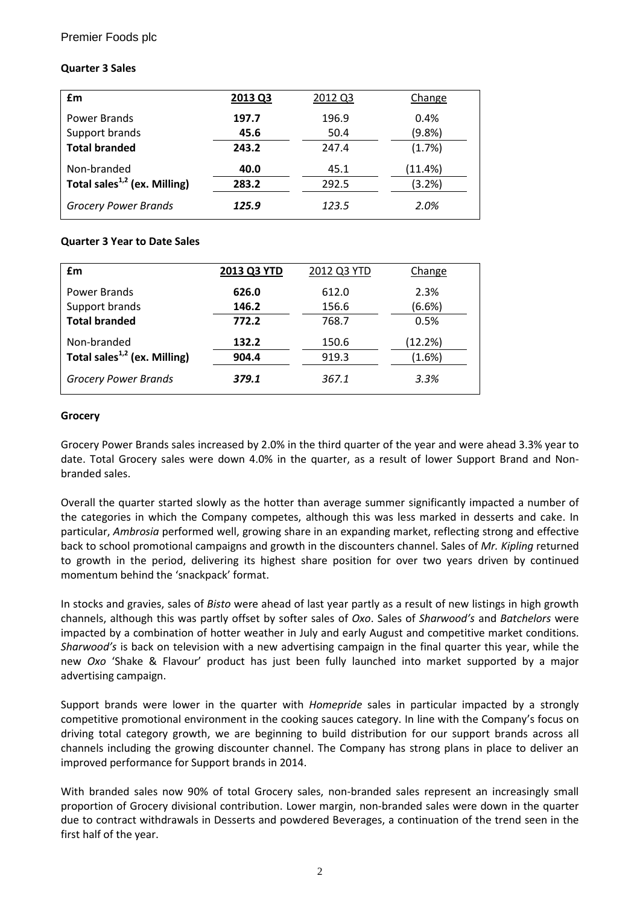#### Premier Foods plc

#### **Quarter 3 Sales**

| £m                                 | 2013 Q3 | 2012 Q3 | Change  |
|------------------------------------|---------|---------|---------|
| Power Brands                       | 197.7   | 196.9   | 0.4%    |
| Support brands                     | 45.6    | 50.4    | (9.8% ) |
| <b>Total branded</b>               | 243.2   | 247.4   | (1.7%)  |
| Non-branded                        | 40.0    | 45.1    | (11.4%) |
| Total sales $^{1,2}$ (ex. Milling) | 283.2   | 292.5   | (3.2%)  |
| <b>Grocery Power Brands</b>        | 125.9   | 123.5   | 2.0%    |

#### **Quarter 3 Year to Date Sales**

| £m                                 | 2013 Q3 YTD | 2012 Q3 YTD | Change  |
|------------------------------------|-------------|-------------|---------|
| Power Brands                       | 626.0       | 612.0       | 2.3%    |
| Support brands                     | 146.2       | 156.6       | (6.6%)  |
| <b>Total branded</b>               | 772.2       | 768.7       | 0.5%    |
| Non-branded                        | 132.2       | 150.6       | (12.2%) |
| Total sales $^{1,2}$ (ex. Milling) | 904.4       | 919.3       | (1.6%)  |
| <b>Grocery Power Brands</b>        | 379.1       | 367.1       | 3.3%    |

#### **Grocery**

Grocery Power Brands sales increased by 2.0% in the third quarter of the year and were ahead 3.3% year to date. Total Grocery sales were down 4.0% in the quarter, as a result of lower Support Brand and Nonbranded sales.

Overall the quarter started slowly as the hotter than average summer significantly impacted a number of the categories in which the Company competes, although this was less marked in desserts and cake. In particular, *Ambrosia* performed well, growing share in an expanding market, reflecting strong and effective back to school promotional campaigns and growth in the discounters channel. Sales of *Mr. Kipling* returned to growth in the period, delivering its highest share position for over two years driven by continued momentum behind the 'snackpack' format.

In stocks and gravies, sales of *Bisto* were ahead of last year partly as a result of new listings in high growth channels, although this was partly offset by softer sales of *Oxo*. Sales of *Sharwood's* and *Batchelors* were impacted by a combination of hotter weather in July and early August and competitive market conditions. *Sharwood's* is back on television with a new advertising campaign in the final quarter this year, while the new *Oxo* 'Shake & Flavour' product has just been fully launched into market supported by a major advertising campaign.

Support brands were lower in the quarter with *Homepride* sales in particular impacted by a strongly competitive promotional environment in the cooking sauces category. In line with the Company's focus on driving total category growth, we are beginning to build distribution for our support brands across all channels including the growing discounter channel. The Company has strong plans in place to deliver an improved performance for Support brands in 2014.

With branded sales now 90% of total Grocery sales, non-branded sales represent an increasingly small proportion of Grocery divisional contribution. Lower margin, non-branded sales were down in the quarter due to contract withdrawals in Desserts and powdered Beverages, a continuation of the trend seen in the first half of the year.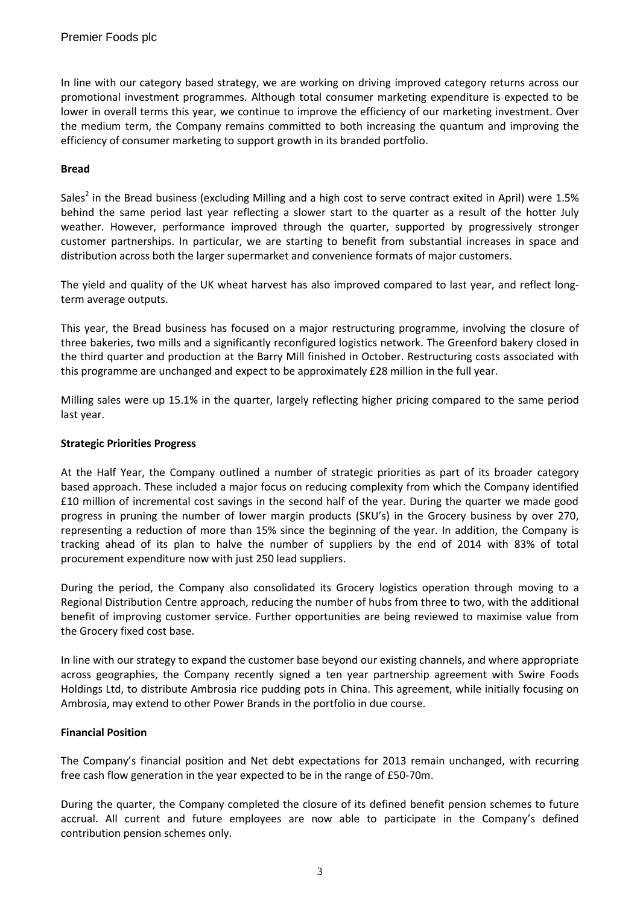In line with our category based strategy, we are working on driving improved category returns across our promotional investment programmes. Although total consumer marketing expenditure is expected to be lower in overall terms this year, we continue to improve the efficiency of our marketing investment. Over the medium term, the Company remains committed to both increasing the quantum and improving the efficiency of consumer marketing to support growth in its branded portfolio.

#### **Bread**

Sales<sup>2</sup> in the Bread business (excluding Milling and a high cost to serve contract exited in April) were 1.5% behind the same period last year reflecting a slower start to the quarter as a result of the hotter July weather. However, performance improved through the quarter, supported by progressively stronger customer partnerships. In particular, we are starting to benefit from substantial increases in space and distribution across both the larger supermarket and convenience formats of major customers.

The yield and quality of the UK wheat harvest has also improved compared to last year, and reflect longterm average outputs.

This year, the Bread business has focused on a major restructuring programme, involving the closure of three bakeries, two mills and a significantly reconfigured logistics network. The Greenford bakery closed in the third quarter and production at the Barry Mill finished in October. Restructuring costs associated with this programme are unchanged and expect to be approximately £28 million in the full year.

Milling sales were up 15.1% in the quarter, largely reflecting higher pricing compared to the same period last year.

#### **Strategic Priorities Progress**

At the Half Year, the Company outlined a number of strategic priorities as part of its broader category based approach. These included a major focus on reducing complexity from which the Company identified £10 million of incremental cost savings in the second half of the year. During the quarter we made good progress in pruning the number of lower margin products (SKU's) in the Grocery business by over 270, representing a reduction of more than 15% since the beginning of the year. In addition, the Company is tracking ahead of its plan to halve the number of suppliers by the end of 2014 with 83% of total procurement expenditure now with just 250 lead suppliers.

During the period, the Company also consolidated its Grocery logistics operation through moving to a Regional Distribution Centre approach, reducing the number of hubs from three to two, with the additional benefit of improving customer service. Further opportunities are being reviewed to maximise value from the Grocery fixed cost base.

In line with our strategy to expand the customer base beyond our existing channels, and where appropriate across geographies, the Company recently signed a ten year partnership agreement with Swire Foods Holdings Ltd, to distribute Ambrosia rice pudding pots in China. This agreement, while initially focusing on Ambrosia, may extend to other Power Brands in the portfolio in due course.

#### **Financial Position**

The Company's financial position and Net debt expectations for 2013 remain unchanged, with recurring free cash flow generation in the year expected to be in the range of £50-70m.

During the quarter, the Company completed the closure of its defined benefit pension schemes to future accrual. All current and future employees are now able to participate in the Company's defined contribution pension schemes only.